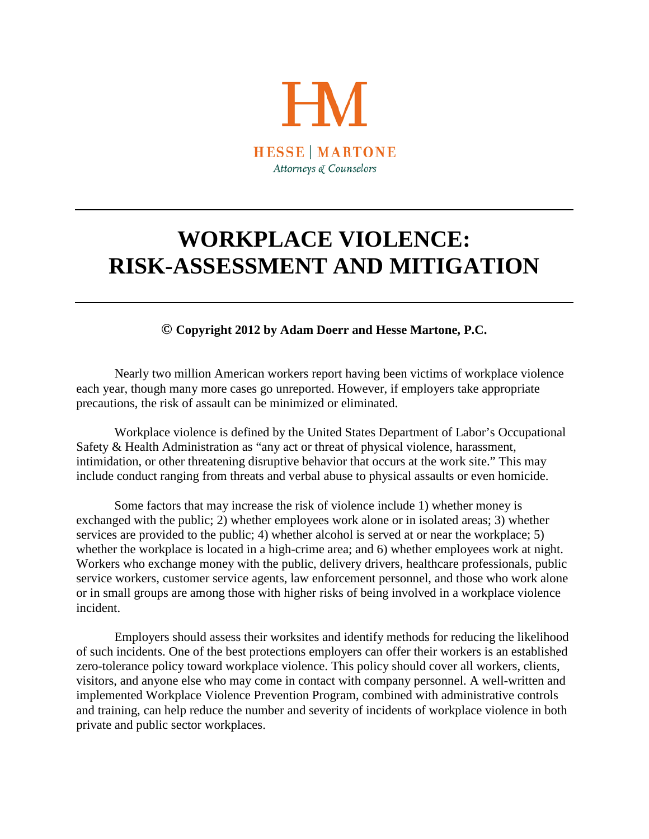

## **WORKPLACE VIOLENCE: RISK-ASSESSMENT AND MITIGATION**

**© Copyright 2012 by Adam Doerr and Hesse Martone, P.C.**

Nearly two million American workers report having been victims of workplace violence each year, though many more cases go unreported. However, if employers take appropriate precautions, the risk of assault can be minimized or eliminated.

Workplace violence is defined by the United States Department of Labor's Occupational Safety & Health Administration as "any act or threat of physical violence, harassment, intimidation, or other threatening disruptive behavior that occurs at the work site." This may include conduct ranging from threats and verbal abuse to physical assaults or even homicide.

Some factors that may increase the risk of violence include 1) whether money is exchanged with the public; 2) whether employees work alone or in isolated areas; 3) whether services are provided to the public; 4) whether alcohol is served at or near the workplace; 5) whether the workplace is located in a high-crime area; and 6) whether employees work at night. Workers who exchange money with the public, delivery drivers, healthcare professionals, public service workers, customer service agents, law enforcement personnel, and those who work alone or in small groups are among those with higher risks of being involved in a workplace violence incident.

Employers should assess their worksites and identify methods for reducing the likelihood of such incidents. One of the best protections employers can offer their workers is an established zero-tolerance policy toward workplace violence. This policy should cover all workers, clients, visitors, and anyone else who may come in contact with company personnel. A well-written and implemented Workplace Violence Prevention Program, combined with administrative controls and training, can help reduce the number and severity of incidents of workplace violence in both private and public sector workplaces.